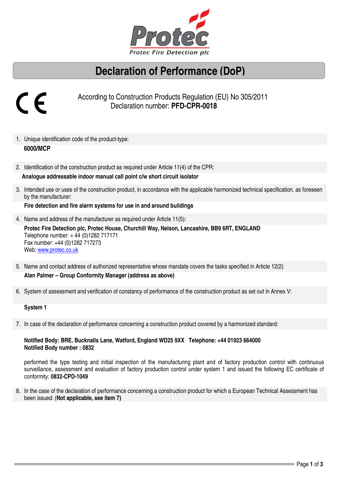

## **Declaration of Performance (DoP)**

# 

 According to Construction Products Regulation (EU) No 305/2011 Declaration number: **PFD-CPR-0018** 

- 1. Unique identification code of the product-type:  **6000/MCP**
- 2. Identification of the construction product as required under Article 11(4) of the CPR:

#### **Analogue addressable indoor manual call point c/w short circuit isolator**

3. Intended use or uses of the construction product, in accordance with the applicable harmonized technical specification, as foreseen by the manufacturer:

**Fire detection and fire alarm systems for use in and around buildings** 

4. Name and address of the manufacturer as required under Article 11(5):

**Protec Fire Detection plc, Protec House, Churchill Way, Nelson, Lancashire, BB9 6RT, ENGLAND**  Telephone number: + 44 (0)1282 717171 Fax number: +44 (0)1282 717273 Web: www.protec.co.uk

- 5. Name and contact address of authorized representative whose mandate covers the tasks specified in Article 12(2) **Alan Palmer – Group Conformity Manager (address as above)**
- 6. System of assessment and verification of constancy of performance of the construction product as set out in Annex V:

#### **System 1**

7. In case of the declaration of performance concerning a construction product covered by a harmonized standard:

#### **Notified Body: BRE, Bucknalls Lane, Watford, England WD25 9XX Telephone: +44 01923 664000 Notified Body number : 0832**

performed the type testing and initial inspection of the manufacturing plant and of factory production control with continuous surveillance, assessment and evaluation of factory production control under system 1 and issued the following EC certificate of conformity: **0832-CPD-1049** 

8. In the case of the declaration of performance concerning a construction product for which a European Technical Assessment has been issued: (**Not applicable, see item 7)**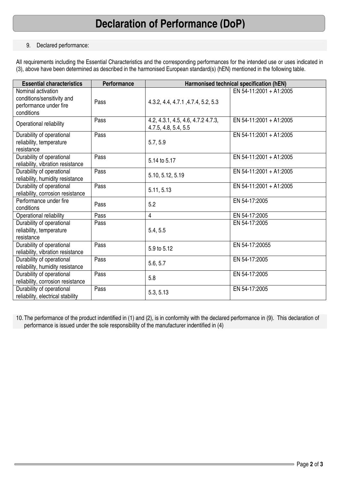## **Declaration of Performance (DoP)**

#### 9. Declared performance:

All requirements including the Essential Characteristics and the corresponding performances for the intended use or uses indicated in (3), above have been determined as described in the harmonised European standard(s) (hEN) mentioned in the following table.

| <b>Essential characteristics</b>                                                         | <b>Performance</b> | Harmonised technical specification (hEN)                   |                         |
|------------------------------------------------------------------------------------------|--------------------|------------------------------------------------------------|-------------------------|
| Nominal activation<br>conditions/sensitivity and<br>performance under fire<br>conditions | Pass               | 4.3.2, 4.4, 4.7.1, 4.7.4, 5.2, 5.3                         | EN 54-11:2001 + A1:2005 |
| Operational reliability                                                                  | Pass               | 4.2, 4.3.1, 4.5, 4.6, 4.7.2 4.7.3,<br>4.7.5, 4.8, 5.4, 5.5 | EN 54-11:2001 + A1:2005 |
| Durability of operational<br>reliability, temperature<br>resistance                      | Pass               | 5.7, 5.9                                                   | EN 54-11:2001 + A1:2005 |
| Durability of operational<br>reliability, vibration resistance                           | Pass               | 5.14 to 5.17                                               | EN 54-11:2001 + A1:2005 |
| Durability of operational<br>reliability, humidity resistance                            | Pass               | 5.10, 5.12, 5.19                                           | EN 54-11:2001 + A1:2005 |
| Durability of operational<br>reliability, corrosion resistance                           | Pass               | 5.11, 5.13                                                 | EN 54-11:2001 + A1:2005 |
| Performance under fire<br>conditions                                                     | Pass               | 5.2                                                        | EN 54-17:2005           |
| Operational reliability                                                                  | Pass               | $\overline{4}$                                             | EN 54-17:2005           |
| Durability of operational<br>reliability, temperature<br>resistance                      | Pass               | 5.4, 5.5                                                   | EN 54-17:2005           |
| Durability of operational<br>reliability, vibration resistance                           | Pass               | 5.9 to 5.12                                                | EN 54-17:20055          |
| Durability of operational<br>reliability, humidity resistance                            | Pass               | 5.6, 5.7                                                   | EN 54-17:2005           |
| Durability of operational<br>reliability, corrosion resistance                           | Pass               | 5.8                                                        | EN 54-17:2005           |
| Durability of operational<br>reliability, electrical stability                           | Pass               | 5.3, 5.13                                                  | EN 54-17:2005           |

10. The performance of the product indentified in (1) and (2), is in conformity with the declared performance in (9). This declaration of performance is issued under the sole responsibility of the manufacturer indentified in (4)